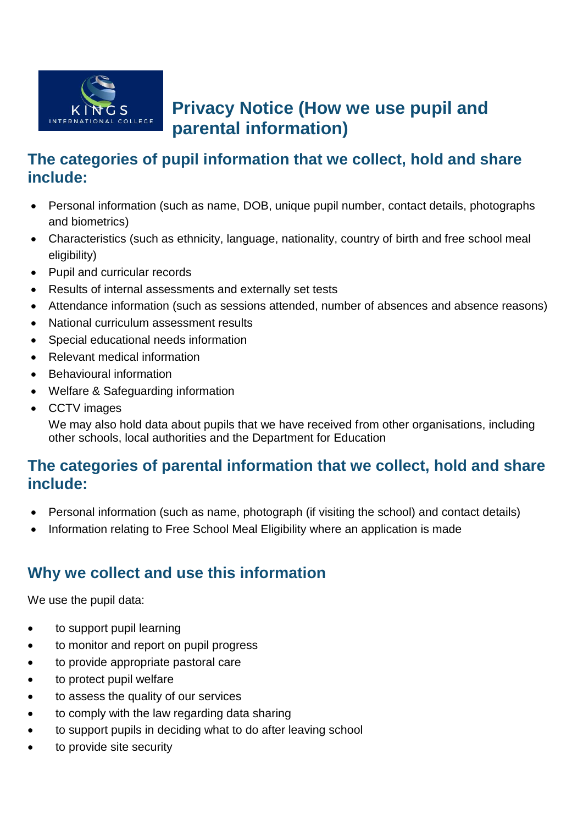

# **Privacy Notice (How we use pupil and parental information)**

# **The categories of pupil information that we collect, hold and share include:**

- Personal information (such as name, DOB, unique pupil number, contact details, photographs and biometrics)
- Characteristics (such as ethnicity, language, nationality, country of birth and free school meal eligibility)
- Pupil and curricular records
- Results of internal assessments and externally set tests
- Attendance information (such as sessions attended, number of absences and absence reasons)
- National curriculum assessment results
- Special educational needs information
- Relevant medical information
- Behavioural information
- Welfare & Safeguarding information
- CCTV images

We may also hold data about pupils that we have received from other organisations, including other schools, local authorities and the Department for Education

# **The categories of parental information that we collect, hold and share include:**

- Personal information (such as name, photograph (if visiting the school) and contact details)
- Information relating to Free School Meal Eligibility where an application is made

# **Why we collect and use this information**

We use the pupil data:

- to support pupil learning
- to monitor and report on pupil progress
- to provide appropriate pastoral care
- to protect pupil welfare
- to assess the quality of our services
- to comply with the law regarding data sharing
- to support pupils in deciding what to do after leaving school
- to provide site security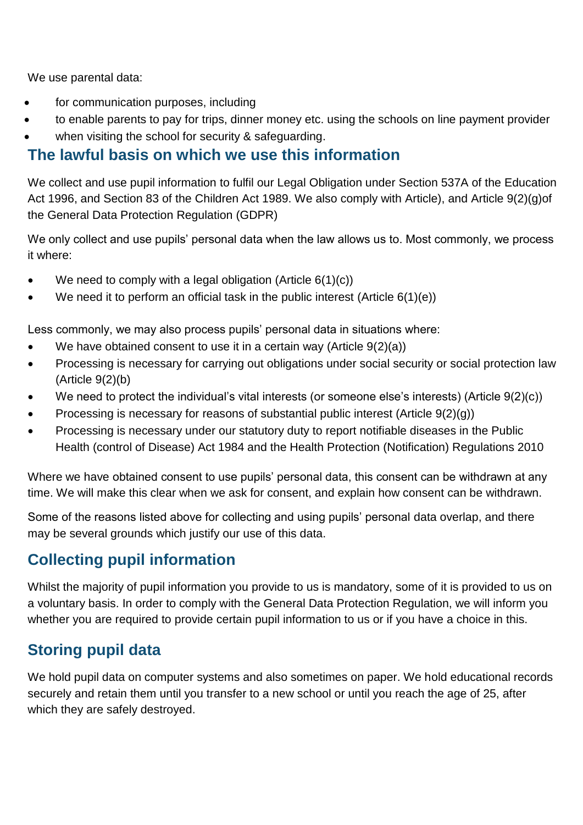We use parental data:

- for communication purposes, including
- to enable parents to pay for trips, dinner money etc. using the schools on line payment provider
- when visiting the school for security & safeguarding.

## **The lawful basis on which we use this information**

We collect and use pupil information to fulfil our Legal Obligation under Section 537A of the Education Act 1996, and Section 83 of the Children Act 1989. We also comply with Article), and Article 9(2)(g)of the General Data Protection Regulation (GDPR)

We only collect and use pupils' personal data when the law allows us to. Most commonly, we process it where:

- We need to comply with a legal obligation (Article  $6(1)(c)$ )
- We need it to perform an official task in the public interest (Article  $6(1)(e)$ )

Less commonly, we may also process pupils' personal data in situations where:

- We have obtained consent to use it in a certain way (Article 9(2)(a))
- Processing is necessary for carrying out obligations under social security or social protection law (Article 9(2)(b)
- We need to protect the individual's vital interests (or someone else's interests) (Article 9(2)(c))
- Processing is necessary for reasons of substantial public interest (Article 9(2)(g))
- Processing is necessary under our statutory duty to report notifiable diseases in the Public Health (control of Disease) Act 1984 and the Health Protection (Notification) Regulations 2010

Where we have obtained consent to use pupils' personal data, this consent can be withdrawn at any time. We will make this clear when we ask for consent, and explain how consent can be withdrawn.

Some of the reasons listed above for collecting and using pupils' personal data overlap, and there may be several grounds which justify our use of this data.

# **Collecting pupil information**

Whilst the majority of pupil information you provide to us is mandatory, some of it is provided to us on a voluntary basis. In order to comply with the General Data Protection Regulation, we will inform you whether you are required to provide certain pupil information to us or if you have a choice in this.

# **Storing pupil data**

We hold pupil data on computer systems and also sometimes on paper. We hold educational records securely and retain them until you transfer to a new school or until you reach the age of 25, after which they are safely destroyed.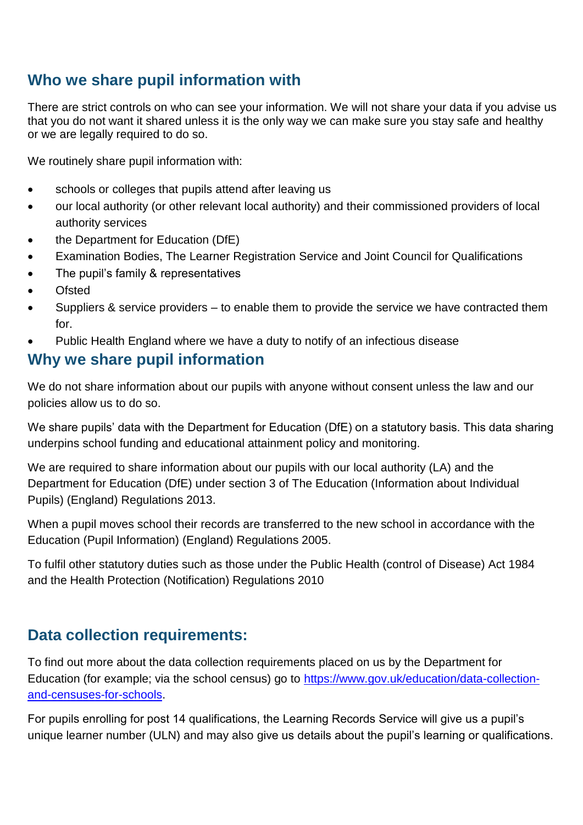# **Who we share pupil information with**

There are strict controls on who can see your information. We will not share your data if you advise us that you do not want it shared unless it is the only way we can make sure you stay safe and healthy or we are legally required to do so.

We routinely share pupil information with:

- schools or colleges that pupils attend after leaving us
- our local authority (or other relevant local authority) and their commissioned providers of local authority services
- the Department for Education (DfE)
- Examination Bodies, The Learner Registration Service and Joint Council for Qualifications
- The pupil's family & representatives
- **Ofsted**
- Suppliers & service providers to enable them to provide the service we have contracted them for.
- Public Health England where we have a duty to notify of an infectious disease

#### **Why we share pupil information**

We do not share information about our pupils with anyone without consent unless the law and our policies allow us to do so.

We share pupils' data with the Department for Education (DfE) on a statutory basis. This data sharing underpins school funding and educational attainment policy and monitoring.

We are required to share information about our pupils with our local authority (LA) and the Department for Education (DfE) under section 3 of The Education (Information about Individual Pupils) (England) Regulations 2013.

When a pupil moves school their records are transferred to the new school in accordance with the Education (Pupil Information) (England) Regulations 2005.

To fulfil other statutory duties such as those under the Public Health (control of Disease) Act 1984 and the Health Protection (Notification) Regulations 2010

# **Data collection requirements:**

To find out more about the data collection requirements placed on us by the Department for Education (for example; via the school census) go to [https://www.gov.uk/education/data-collection](https://www.gov.uk/education/data-collection-and-censuses-for-schools)[and-censuses-for-schools.](https://www.gov.uk/education/data-collection-and-censuses-for-schools)

For pupils enrolling for post 14 qualifications, the Learning Records Service will give us a pupil's unique learner number (ULN) and may also give us details about the pupil's learning or qualifications.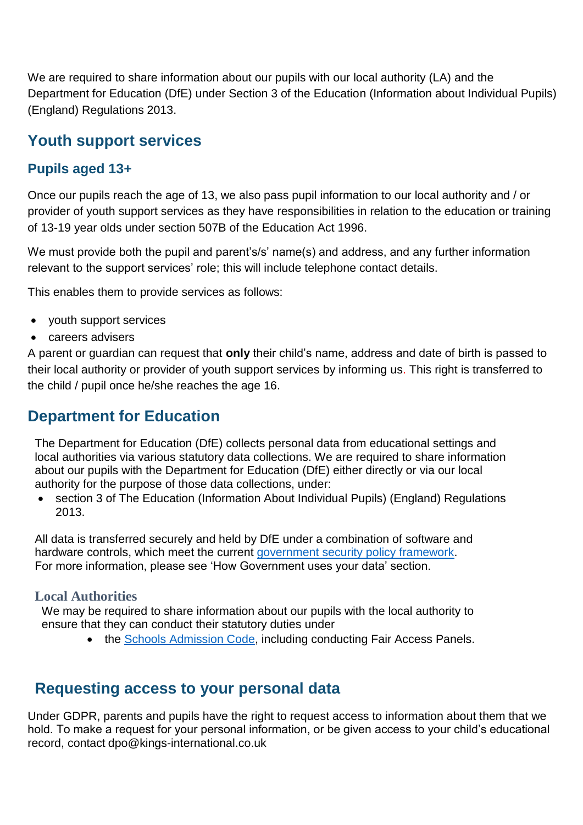We are required to share information about our pupils with our local authority (LA) and the Department for Education (DfE) under Section 3 of the Education (Information about Individual Pupils) (England) Regulations 2013.

# **Youth support services**

### **Pupils aged 13+**

Once our pupils reach the age of 13, we also pass pupil information to our local authority and / or provider of youth support services as they have responsibilities in relation to the education or training of 13-19 year olds under section 507B of the Education Act 1996.

We must provide both the pupil and parent's/s' name(s) and address, and any further information relevant to the support services' role; this will include telephone contact details.

This enables them to provide services as follows:

- youth support services
- careers advisers

A parent or guardian can request that **only** their child's name, address and date of birth is passed to their local authority or provider of youth support services by informing us. This right is transferred to the child / pupil once he/she reaches the age 16.

# **Department for Education**

The Department for Education (DfE) collects personal data from educational settings and local authorities via various statutory data collections. We are required to share information about our pupils with the Department for Education (DfE) either directly or via our local authority for the purpose of those data collections, under:

• section 3 of The Education (Information About Individual Pupils) (England) Regulations 2013.

All data is transferred securely and held by DfE under a combination of software and hardware controls, which meet the current [government security policy framework.](https://www.gov.uk/government/publications/security-policy-framework) For more information, please see 'How Government uses your data' section.

#### **Local Authorities**

We may be required to share information about our pupils with the local authority to ensure that they can conduct their statutory duties under

• the [Schools Admission Code,](https://www.gov.uk/government/publications/school-admissions-code--2) including conducting Fair Access Panels.

# **Requesting access to your personal data**

Under GDPR, parents and pupils have the right to request access to information about them that we hold. To make a request for your personal information, or be given access to your child's educational record, contact dpo@kings-international.co.uk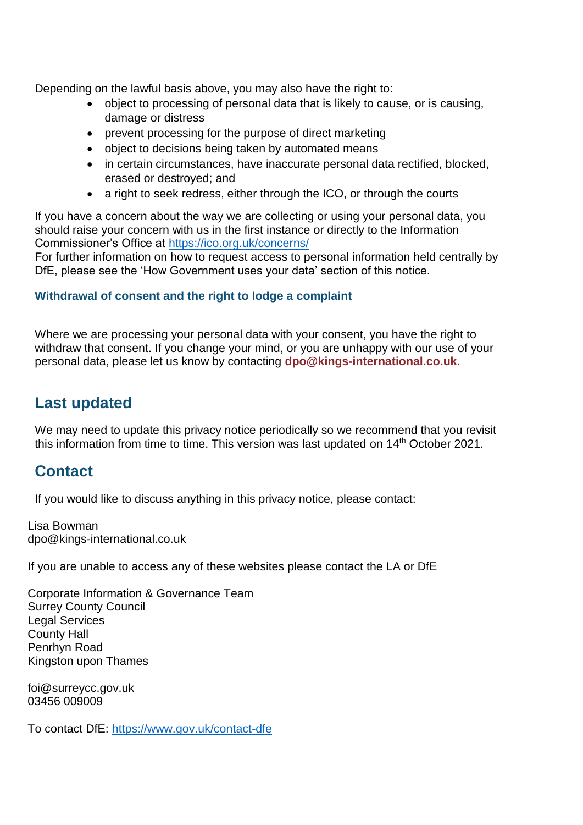Depending on the lawful basis above, you may also have the right to:

- object to processing of personal data that is likely to cause, or is causing, damage or distress
- prevent processing for the purpose of direct marketing
- object to decisions being taken by automated means
- in certain circumstances, have inaccurate personal data rectified, blocked, erased or destroyed; and
- a right to seek redress, either through the ICO, or through the courts

If you have a concern about the way we are collecting or using your personal data, you should raise your concern with us in the first instance or directly to the Information Commissioner's Office at<https://ico.org.uk/concerns/>

For further information on how to request access to personal information held centrally by DfE, please see the 'How Government uses your data' section of this notice.

#### **Withdrawal of consent and the right to lodge a complaint**

Where we are processing your personal data with your consent, you have the right to withdraw that consent. If you change your mind, or you are unhappy with our use of your personal data, please let us know by contacting **dpo@kings-international.co.uk.**

## **Last updated**

We may need to update this privacy notice periodically so we recommend that you revisit this information from time to time. This version was last updated on 14<sup>th</sup> October 2021.

## **Contact**

If you would like to discuss anything in this privacy notice, please contact:

Lisa Bowman dpo@kings-international.co.uk

If you are unable to access any of these websites please contact the LA or DfE

Corporate Information & Governance Team Surrey County Council Legal Services County Hall Penrhyn Road Kingston upon Thames

[foi@surreycc.gov.uk](mailto:foi@surreycc.gov.uk) 03456 009009

To contact DfE:<https://www.gov.uk/contact-dfe>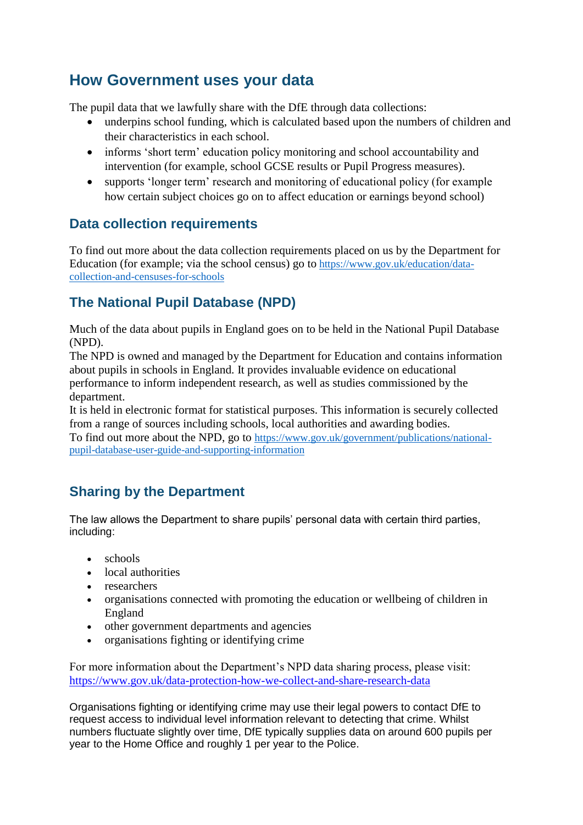# **How Government uses your data**

The pupil data that we lawfully share with the DfE through data collections:

- underpins school funding, which is calculated based upon the numbers of children and their characteristics in each school.
- informs 'short term' education policy monitoring and school accountability and intervention (for example, school GCSE results or Pupil Progress measures).
- supports 'longer term' research and monitoring of educational policy (for example how certain subject choices go on to affect education or earnings beyond school)

#### **Data collection requirements**

To find out more about the data collection requirements placed on us by the Department for Education (for example; via the school census) go to [https://www.gov.uk/education/data](https://www.gov.uk/education/data-collection-and-censuses-for-schools)[collection-and-censuses-for-schools](https://www.gov.uk/education/data-collection-and-censuses-for-schools)

## **The National Pupil Database (NPD)**

Much of the data about pupils in England goes on to be held in the National Pupil Database (NPD).

The NPD is owned and managed by the Department for Education and contains information about pupils in schools in England. It provides invaluable evidence on educational performance to inform independent research, as well as studies commissioned by the department.

It is held in electronic format for statistical purposes. This information is securely collected from a range of sources including schools, local authorities and awarding bodies.

To find out more about the NPD, go to [https://www.gov.uk/government/publications/national](https://www.gov.uk/government/publications/national-pupil-database-user-guide-and-supporting-information)[pupil-database-user-guide-and-supporting-information](https://www.gov.uk/government/publications/national-pupil-database-user-guide-and-supporting-information)

## **Sharing by the Department**

The law allows the Department to share pupils' personal data with certain third parties, including:

- schools
- local authorities
- researchers
- organisations connected with promoting the education or wellbeing of children in England
- other government departments and agencies
- organisations fighting or identifying crime

For more information about the Department's NPD data sharing process, please visit: <https://www.gov.uk/data-protection-how-we-collect-and-share-research-data>

Organisations fighting or identifying crime may use their legal powers to contact DfE to request access to individual level information relevant to detecting that crime. Whilst numbers fluctuate slightly over time, DfE typically supplies data on around 600 pupils per year to the Home Office and roughly 1 per year to the Police.